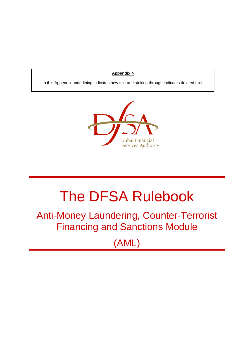## **Appendix 4**

In this Appendix underlining indicates new text and striking through indicates deleted text.



# The DFSA Rulebook

Anti-Money Laundering, Counter-Terrorist Financing and Sanctions Module

(AML)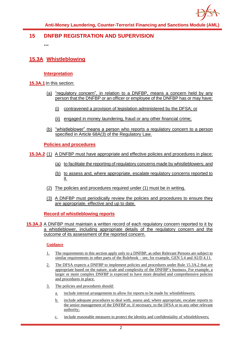

## **15 DNFBP REGISTRATION AND SUPERVISION**

**...**

# **15.3A Whistleblowing**

## **Interpretation**

- **15.3A.1** In this section:
	- (a) "regulatory concern", in relation to a DNFBP, means a concern held by any person that the DNFBP or an officer or employee of the DNFBP has or may have:
		- (i) contravened a provision of legislation administered by the DFSA; or
		- (ii) engaged in money laundering, fraud or any other financial crime;
	- (b) "whistleblower" means a person who reports a regulatory concern to a person specified in Article 68A(3) of the Regulatory Law.

**Policies and procedures**

- **15.3A.2** (1) A DNFBP must have appropriate and effective policies and procedures in place:
	- (a) to facilitate the reporting of regulatory concerns made by whistleblowers; and
	- (b) to assess and, where appropriate, escalate regulatory concerns reported to it.
	- (2) The policies and procedures required under (1) must be in writing.
	- (3) A DNFBP must periodically review the policies and procedures to ensure they are appropriate, effective and up to date.

**Record of whistleblowing reports**

**15.3A.3** A DNFBP must maintain a written record of each regulatory concern reported to it by a whistleblower, including appropriate details of the regulatory concern and the outcome of its assessment of the reported concern.

#### **Guidance**

- 1. The requirements in this section apply only to a DNFBP, as other Relevant Persons are subject to similar requirements in other parts of the Rulebook – see, for example, GEN 5.4 and AUD 4.11.
- 2. The DFSA expects a DNFBP to implement policies and procedures under Rule 15.3A.2 that are appropriate based on the nature, scale and complexity of the DNFBP's business. For example, a larger or more complex DNFBP is expected to have more detailed and comprehensive policies and procedures in place.
- 3. The policies and procedures should:
	- a. include internal arrangements to allow for reports to be made by whistleblowers;
	- b. include adequate procedures to deal with, assess and, where appropriate, escalate reports to the senior management of the DNFBP or, if necessary, to the DFSA or to any other relevant authority;
	- c. include reasonable measures to protect the identity and confidentiality of whistleblowers;